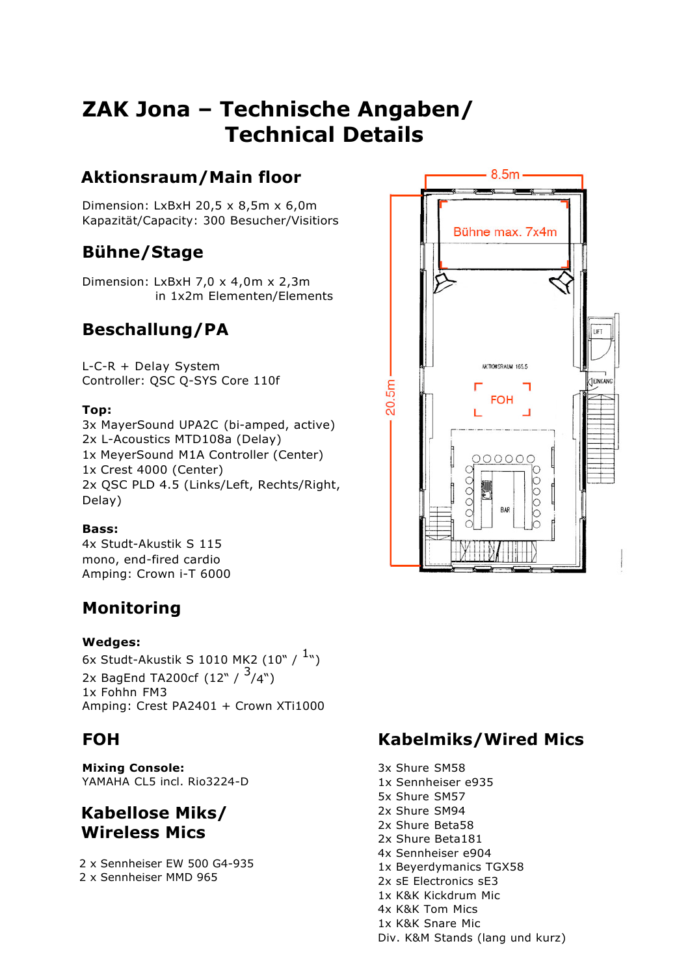# **ZAK Jona – Technische Angaben/ Technical Details**

# **Aktionsraum/Main floor**

Dimension: LxBxH 20,5 x 8,5m x 6,0m Kapazität/Capacity: 300 Besucher/Visitiors

# **Bühne/Stage**

Dimension: LxBxH 7,0 x 4,0m x 2,3m in 1x2m Elementen/Elements

# **Beschallung/PA**

L-C-R + Delay System Controller: QSC Q-SYS Core 110f

### **Top:**

3x MayerSound UPA2C (bi-amped, active) 2x L-Acoustics MTD108a (Delay) 1x MeyerSound M1A Controller (Center) 1x Crest 4000 (Center) 2x QSC PLD 4.5 (Links/Left, Rechts/Right, Delay)

### **Bass:**

4x Studt-Akustik S 115 mono, end-fired cardio Amping: Crown i-T 6000

# **Monitoring**

### **Wedges:**

6x Studt-Akustik S 1010 MK2 (10" /  $\frac{1}{1}$ ") 2x BagEnd TA200cf  $(12" / <sup>3</sup>/4")$ 1x Fohhn FM3 Amping: Crest PA2401 + Crown XTi1000

# **FOH**

**Mixing Console:** YAMAHA CL5 incl. Rio3224-D

# **Kabellose Miks/ Wireless Mics**

2 x Sennheiser EW 500 G4-935 2 x Sennheiser MMD 965



# **Kabelmiks/Wired Mics**

3x Shure SM58 1x Sennheiser e935 5x Shure SM57 2x Shure SM94 2x Shure Beta58 2x Shure Beta181 4x Sennheiser e904 1x Beyerdymanics TGX58 2x sE Electronics sE3 1x K&K Kickdrum Mic 4x K&K Tom Mics 1x K&K Snare Mic Div. K&M Stands (lang und kurz)